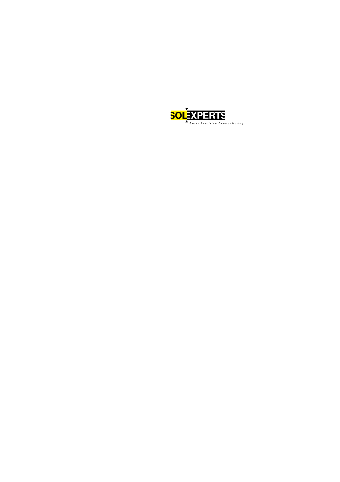